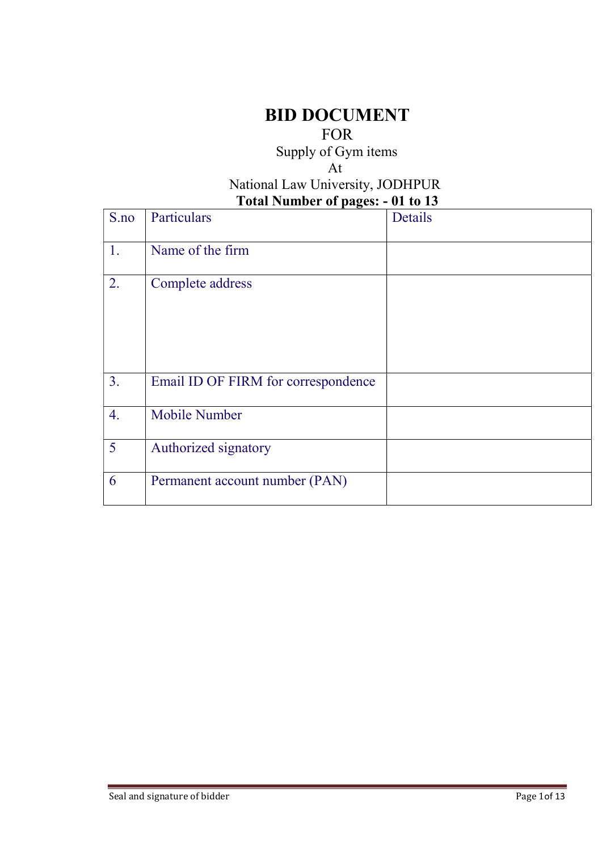# BID DOCUMENT

#### FOR

Supply of Gym items

#### At National Law University, JODHPUR Total Number of pages: - 01 to 13

|                 | 100                                 | VI VV 10 |
|-----------------|-------------------------------------|----------|
| S.no            | Particulars                         | Details  |
| 1.              | Name of the firm                    |          |
| 2.              | Complete address                    |          |
| 3.              | Email ID OF FIRM for correspondence |          |
| 4.              | <b>Mobile Number</b>                |          |
| $5\overline{)}$ | Authorized signatory                |          |
| 6               | Permanent account number (PAN)      |          |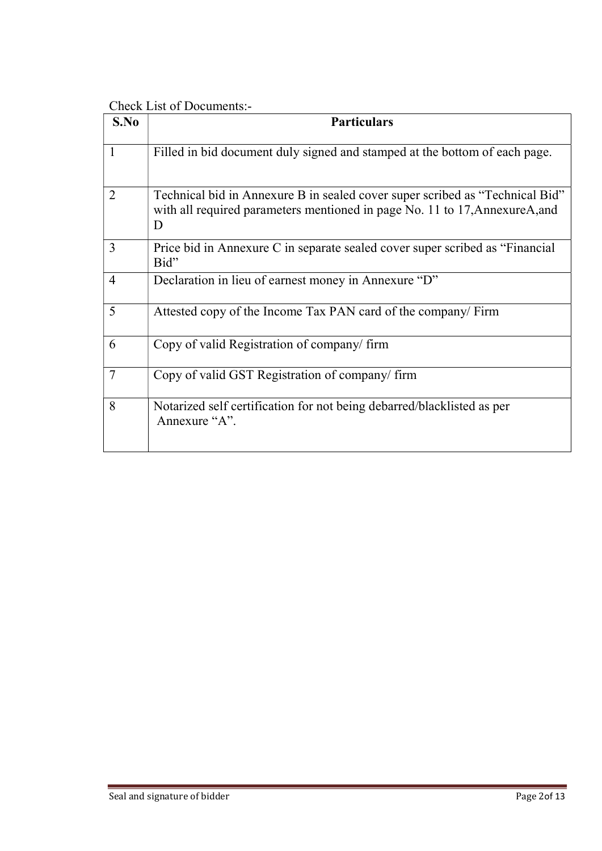Check List of Documents:-

| S.No           | <b>Particulars</b>                                                                                                                                               |
|----------------|------------------------------------------------------------------------------------------------------------------------------------------------------------------|
| 1              | Filled in bid document duly signed and stamped at the bottom of each page.                                                                                       |
| $\overline{2}$ | Technical bid in Annexure B in sealed cover super scribed as "Technical Bid"<br>with all required parameters mentioned in page No. 11 to 17, AnnexureA, and<br>D |
| 3              | Price bid in Annexure C in separate sealed cover super scribed as "Financial"<br>Bid"                                                                            |
| $\overline{4}$ | Declaration in lieu of earnest money in Annexure "D"                                                                                                             |
| 5              | Attested copy of the Income Tax PAN card of the company/ Firm                                                                                                    |
| 6              | Copy of valid Registration of company/firm                                                                                                                       |
| $\overline{7}$ | Copy of valid GST Registration of company/ firm                                                                                                                  |
| 8              | Notarized self certification for not being debarred/blacklisted as per<br>Annexure "A".                                                                          |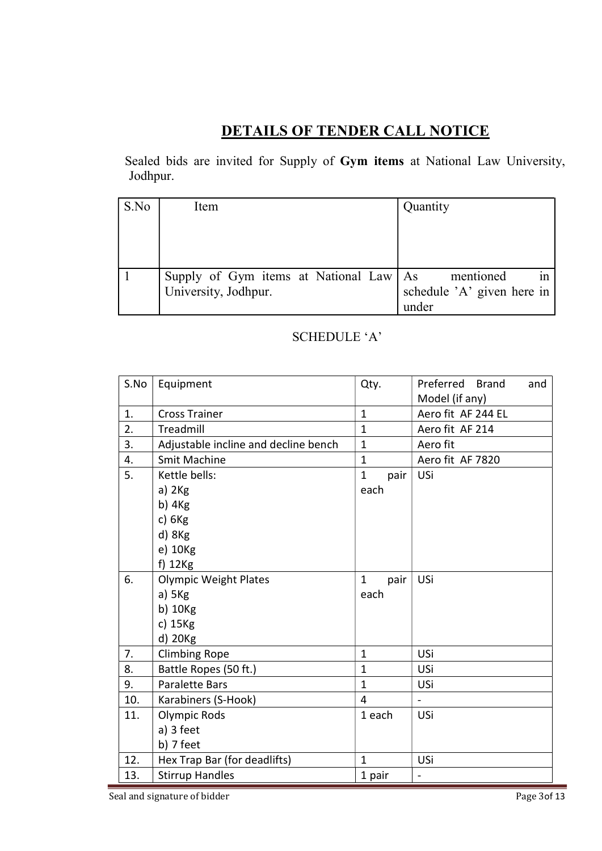## DETAILS OF TENDER CALL NOTICE

 Sealed bids are invited for Supply of Gym items at National Law University, Jodhpur.

| S.No | Item                                     | Quantity                   |
|------|------------------------------------------|----------------------------|
|      |                                          |                            |
|      |                                          |                            |
|      |                                          |                            |
|      | Supply of Gym items at National Law   As | mentioned                  |
|      | University, Jodhpur.                     | schedule 'A' given here in |
|      |                                          | under                      |

#### SCHEDULE 'A'

| S.No | Equipment                            | Qty.                 | Preferred Brand<br>and<br>Model (if any) |
|------|--------------------------------------|----------------------|------------------------------------------|
| 1.   | <b>Cross Trainer</b>                 | $\mathbf{1}$         | Aero fit AF 244 EL                       |
| 2.   | Treadmill                            | $\mathbf{1}$         | Aero fit AF 214                          |
| 3.   | Adjustable incline and decline bench | $\mathbf{1}$         | Aero fit                                 |
| 4.   | <b>Smit Machine</b>                  | $\mathbf{1}$         | Aero fit AF 7820                         |
| 5.   | Kettle bells:                        | $\mathbf{1}$<br>pair | USi                                      |
|      | a) 2Kg                               | each                 |                                          |
|      | b) 4Kg                               |                      |                                          |
|      | c) $6Kg$                             |                      |                                          |
|      | d) 8Kg                               |                      |                                          |
|      | e) 10Kg                              |                      |                                          |
|      | f) 12Kg                              |                      |                                          |
| 6.   | <b>Olympic Weight Plates</b>         | pair<br>1            | USi                                      |
|      | a) 5Kg                               | each                 |                                          |
|      | b) 10Kg                              |                      |                                          |
|      | c) 15Kg                              |                      |                                          |
|      | d) 20Kg                              |                      |                                          |
| 7.   | <b>Climbing Rope</b>                 | $\mathbf{1}$         | USi                                      |
| 8.   | Battle Ropes (50 ft.)                | $\mathbf{1}$         | USi                                      |
| 9.   | <b>Paralette Bars</b>                | $\mathbf{1}$         | USi                                      |
| 10.  | Karabiners (S-Hook)                  | $\overline{4}$       | $\blacksquare$                           |
| 11.  | <b>Olympic Rods</b>                  | 1 each               | USi                                      |
|      | a) 3 feet                            |                      |                                          |
|      | b) 7 feet                            |                      |                                          |
| 12.  | Hex Trap Bar (for deadlifts)         | $\mathbf{1}$         | USi                                      |
| 13.  | <b>Stirrup Handles</b>               | 1 pair               | $\frac{1}{2}$                            |

Seal and signature of bidder Page 3of 13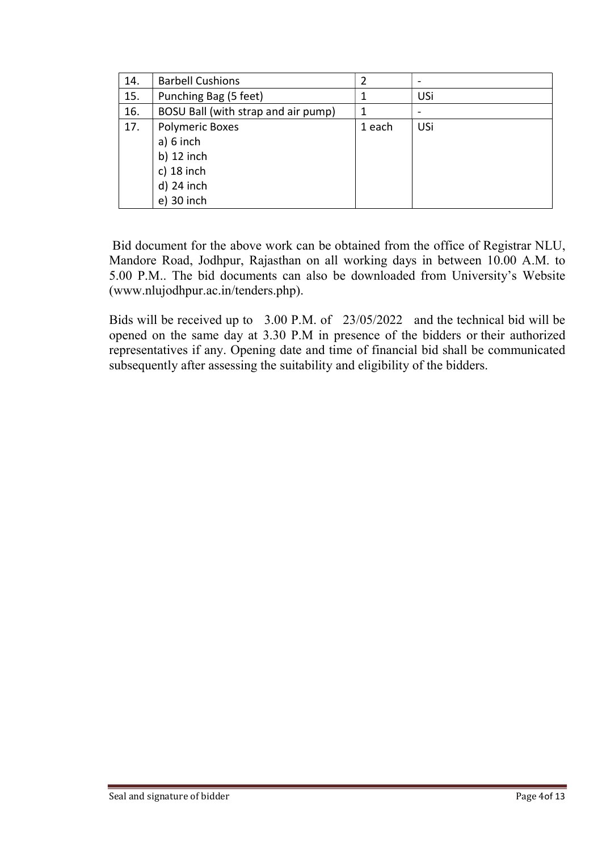| 14. | <b>Barbell Cushions</b>             | 2      |     |
|-----|-------------------------------------|--------|-----|
| 15. | Punching Bag (5 feet)               | 1      | USi |
| 16. | BOSU Ball (with strap and air pump) | 1      |     |
| 17. | <b>Polymeric Boxes</b>              | 1 each | USi |
|     | $a) 6$ inch                         |        |     |
|     | b) $12$ inch                        |        |     |
|     | c) $18$ inch                        |        |     |
|     | $d)$ 24 inch                        |        |     |
|     | e) 30 inch                          |        |     |

 Bid document for the above work can be obtained from the office of Registrar NLU, Mandore Road, Jodhpur, Rajasthan on all working days in between 10.00 A.M. to 5.00 P.M.. The bid documents can also be downloaded from University's Website (www.nlujodhpur.ac.in/tenders.php).

Bids will be received up to 3.00 P.M. of 23/05/2022 and the technical bid will be opened on the same day at 3.30 P.M in presence of the bidders or their authorized representatives if any. Opening date and time of financial bid shall be communicated subsequently after assessing the suitability and eligibility of the bidders.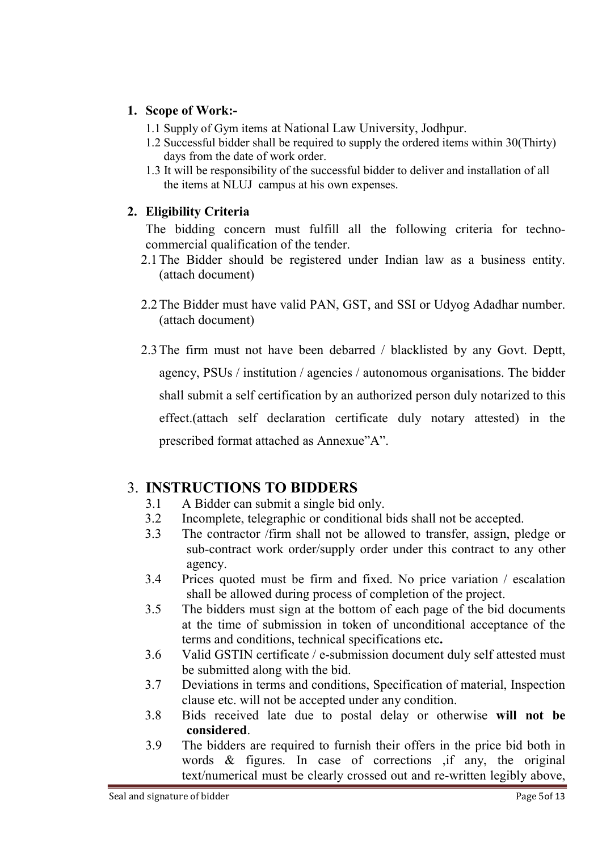#### 1. Scope of Work:-

- 1.1 Supply of Gym items at National Law University, Jodhpur.
- 1.2 Successful bidder shall be required to supply the ordered items within 30(Thirty) days from the date of work order.
- 1.3 It will be responsibility of the successful bidder to deliver and installation of all the items at NLUJ campus at his own expenses.

#### 2. Eligibility Criteria

The bidding concern must fulfill all the following criteria for technocommercial qualification of the tender.

- 2.1The Bidder should be registered under Indian law as a business entity. (attach document)
- 2.2The Bidder must have valid PAN, GST, and SSI or Udyog Adadhar number. (attach document)
- 2.3The firm must not have been debarred / blacklisted by any Govt. Deptt, agency, PSUs / institution / agencies / autonomous organisations. The bidder shall submit a self certification by an authorized person duly notarized to this effect.(attach self declaration certificate duly notary attested) in the prescribed format attached as Annexue"A".

### 3. INSTRUCTIONS TO BIDDERS

- 3.1 A Bidder can submit a single bid only.
- 3.2 Incomplete, telegraphic or conditional bids shall not be accepted.
- 3.3 The contractor /firm shall not be allowed to transfer, assign, pledge or sub-contract work order/supply order under this contract to any other agency.
- 3.4 Prices quoted must be firm and fixed. No price variation / escalation shall be allowed during process of completion of the project.
- 3.5 The bidders must sign at the bottom of each page of the bid documents at the time of submission in token of unconditional acceptance of the terms and conditions, technical specifications etc.
- 3.6 Valid GSTIN certificate / e-submission document duly self attested must be submitted along with the bid.
- 3.7 Deviations in terms and conditions, Specification of material, Inspection clause etc. will not be accepted under any condition.
- 3.8 Bids received late due to postal delay or otherwise will not be considered.
- 3.9 The bidders are required to furnish their offers in the price bid both in words & figures. In case of corrections ,if any, the original text/numerical must be clearly crossed out and re-written legibly above,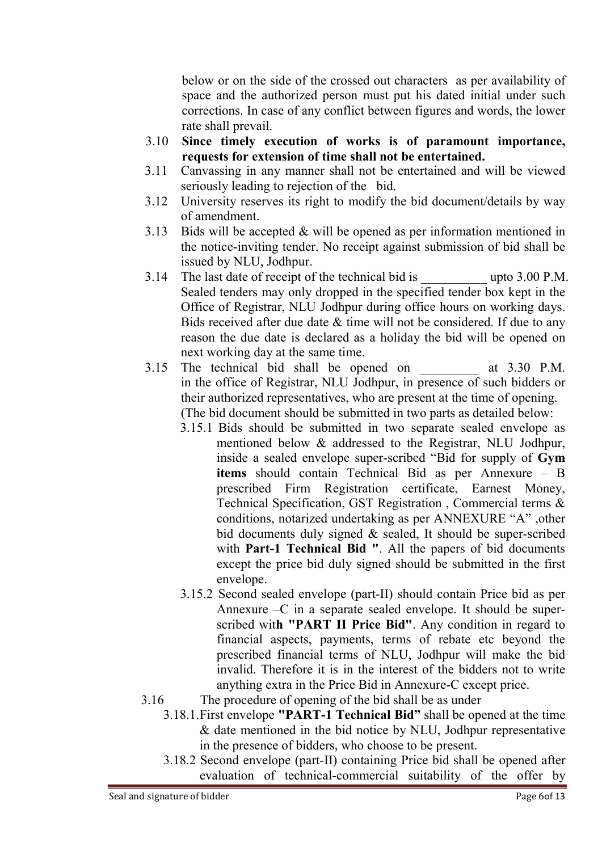below or on the side of the crossed out characters as per availability of space and the authorized person must put his dated initial under such corrections. In case of any conflict between figures and words, the lower rate shall prevail.

- 3.10 Since timely execution of works is of paramount importance, requests for extension of time shall not be entertained.
- 3.11 Canvassing in any manner shall not be entertained and will be viewed seriously leading to rejection of the bid.
- 3.12 University reserves its right to modify the bid document/details by way of amendment.
- 3.13 Bids will be accepted & will be opened as per information mentioned in the notice-inviting tender. No receipt against submission of bid shall be issued by NLU, Jodhpur.
- 3.14 The last date of receipt of the technical bid is  $\qquad \qquad$  upto 3.00 P.M. Sealed tenders may only dropped in the specified tender box kept in the Office of Registrar, NLU Jodhpur during office hours on working days. Bids received after due date  $&$  time will not be considered. If due to any reason the due date is declared as a holiday the bid will be opened on next working day at the same time.
- 3.15 The technical bid shall be opened on at 3.30 P.M. in the office of Registrar, NLU Jodhpur, in presence of such bidders or their authorized representatives, who are present at the time of opening. (The bid document should be submitted in two parts as detailed below:
	- 3.15.1 Bids should be submitted in two separate sealed envelope as mentioned below & addressed to the Registrar, NLU Jodhpur, inside a sealed envelope super-scribed "Bid for supply of Gym items should contain Technical Bid as per Annexure – B prescribed Firm Registration certificate, Earnest Money, Technical Specification, GST Registration , Commercial terms & conditions, notarized undertaking as per ANNEXURE "A" ,other bid documents duly signed & sealed, It should be super-scribed with Part-1 Technical Bid ". All the papers of bid documents except the price bid duly signed should be submitted in the first envelope.
	- 3.15.2 Second sealed envelope (part-II) should contain Price bid as per Annexure  $-C$  in a separate sealed envelope. It should be superscribed with "PART II Price Bid". Any condition in regard to financial aspects, payments, terms of rebate etc beyond the prescribed financial terms of NLU, Jodhpur will make the bid invalid. Therefore it is in the interest of the bidders not to write anything extra in the Price Bid in Annexure-C except price.
- 3.16 The procedure of opening of the bid shall be as under
	- 3.18.1. First envelope "PART-1 Technical Bid" shall be opened at the time & date mentioned in the bid notice by NLU, Jodhpur representative in the presence of bidders, who choose to be present.
	- 3.18.2 Second envelope (part-II) containing Price bid shall be opened after evaluation of technical-commercial suitability of the offer by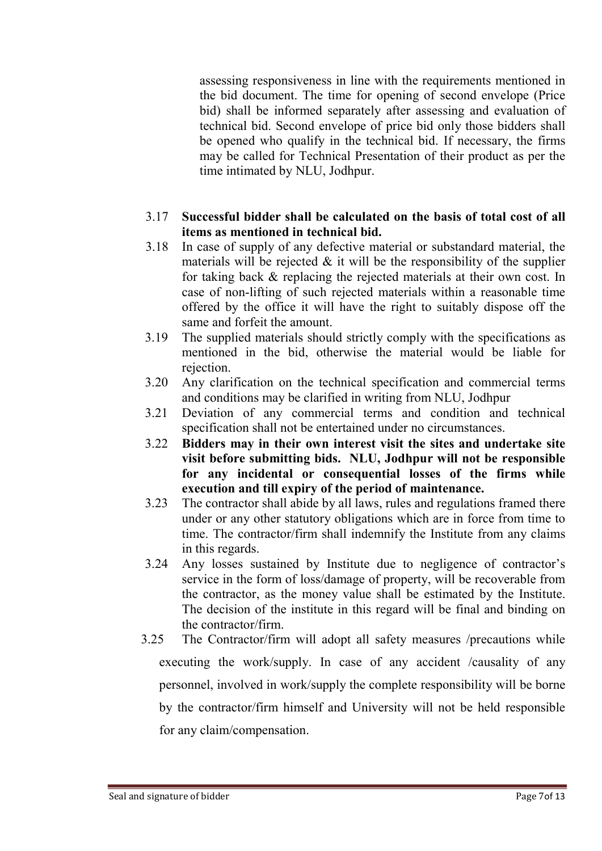assessing responsiveness in line with the requirements mentioned in the bid document. The time for opening of second envelope (Price bid) shall be informed separately after assessing and evaluation of technical bid. Second envelope of price bid only those bidders shall be opened who qualify in the technical bid. If necessary, the firms may be called for Technical Presentation of their product as per the time intimated by NLU, Jodhpur.

#### 3.17 Successful bidder shall be calculated on the basis of total cost of all items as mentioned in technical bid.

- 3.18 In case of supply of any defective material or substandard material, the materials will be rejected  $\&$  it will be the responsibility of the supplier for taking back & replacing the rejected materials at their own cost. In case of non-lifting of such rejected materials within a reasonable time offered by the office it will have the right to suitably dispose off the same and forfeit the amount.
- 3.19 The supplied materials should strictly comply with the specifications as mentioned in the bid, otherwise the material would be liable for rejection.
- 3.20 Any clarification on the technical specification and commercial terms and conditions may be clarified in writing from NLU, Jodhpur
- 3.21 Deviation of any commercial terms and condition and technical specification shall not be entertained under no circumstances.
- 3.22 Bidders may in their own interest visit the sites and undertake site visit before submitting bids. NLU, Jodhpur will not be responsible for any incidental or consequential losses of the firms while execution and till expiry of the period of maintenance.
- 3.23 The contractor shall abide by all laws, rules and regulations framed there under or any other statutory obligations which are in force from time to time. The contractor/firm shall indemnify the Institute from any claims in this regards.
- 3.24 Any losses sustained by Institute due to negligence of contractor's service in the form of loss/damage of property, will be recoverable from the contractor, as the money value shall be estimated by the Institute. The decision of the institute in this regard will be final and binding on the contractor/firm.
- 3.25 The Contractor/firm will adopt all safety measures /precautions while executing the work/supply. In case of any accident /causality of any personnel, involved in work/supply the complete responsibility will be borne by the contractor/firm himself and University will not be held responsible for any claim/compensation.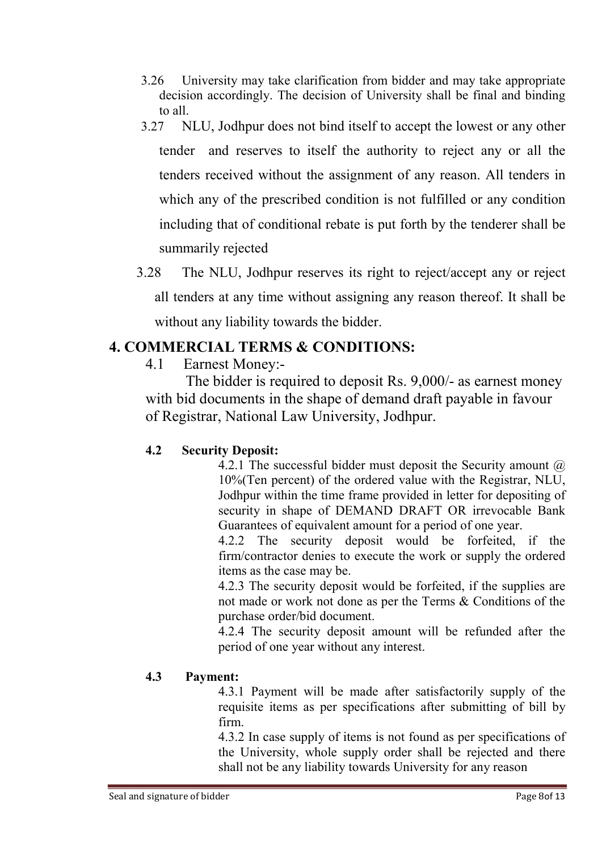- 3.26 University may take clarification from bidder and may take appropriate decision accordingly. The decision of University shall be final and binding to all.
- 3.27 NLU, Jodhpur does not bind itself to accept the lowest or any other tender and reserves to itself the authority to reject any or all the tenders received without the assignment of any reason. All tenders in which any of the prescribed condition is not fulfilled or any condition including that of conditional rebate is put forth by the tenderer shall be summarily rejected
- 3.28 The NLU, Jodhpur reserves its right to reject/accept any or reject all tenders at any time without assigning any reason thereof. It shall be without any liability towards the bidder.

#### 4. COMMERCIAL TERMS & CONDITIONS:

4.1 Earnest Money:-

 The bidder is required to deposit Rs. 9,000/- as earnest money with bid documents in the shape of demand draft payable in favour of Registrar, National Law University, Jodhpur.

#### 4.2 Security Deposit:

4.2.1 The successful bidder must deposit the Security amount  $\omega$ 10%(Ten percent) of the ordered value with the Registrar, NLU, Jodhpur within the time frame provided in letter for depositing of security in shape of DEMAND DRAFT OR irrevocable Bank Guarantees of equivalent amount for a period of one year.

4.2.2 The security deposit would be forfeited, if the firm/contractor denies to execute the work or supply the ordered items as the case may be.

4.2.3 The security deposit would be forfeited, if the supplies are not made or work not done as per the Terms & Conditions of the purchase order/bid document.

4.2.4 The security deposit amount will be refunded after the period of one year without any interest.

#### 4.3 Payment:

4.3.1 Payment will be made after satisfactorily supply of the requisite items as per specifications after submitting of bill by firm.

4.3.2 In case supply of items is not found as per specifications of the University, whole supply order shall be rejected and there shall not be any liability towards University for any reason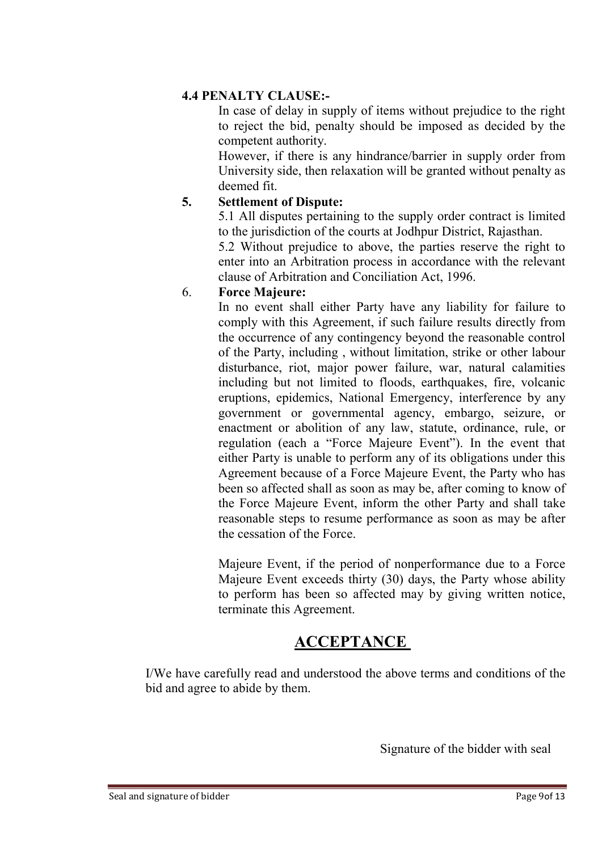#### 4.4 PENALTY CLAUSE:-

In case of delay in supply of items without prejudice to the right to reject the bid, penalty should be imposed as decided by the competent authority.

However, if there is any hindrance/barrier in supply order from University side, then relaxation will be granted without penalty as deemed fit.

#### 5. Settlement of Dispute:

5.1 All disputes pertaining to the supply order contract is limited to the jurisdiction of the courts at Jodhpur District, Rajasthan.

5.2 Without prejudice to above, the parties reserve the right to enter into an Arbitration process in accordance with the relevant clause of Arbitration and Conciliation Act, 1996.

#### 6. Force Majeure:

In no event shall either Party have any liability for failure to comply with this Agreement, if such failure results directly from the occurrence of any contingency beyond the reasonable control of the Party, including , without limitation, strike or other labour disturbance, riot, major power failure, war, natural calamities including but not limited to floods, earthquakes, fire, volcanic eruptions, epidemics, National Emergency, interference by any government or governmental agency, embargo, seizure, or enactment or abolition of any law, statute, ordinance, rule, or regulation (each a "Force Majeure Event"). In the event that either Party is unable to perform any of its obligations under this Agreement because of a Force Majeure Event, the Party who has been so affected shall as soon as may be, after coming to know of the Force Majeure Event, inform the other Party and shall take reasonable steps to resume performance as soon as may be after the cessation of the Force.

Majeure Event, if the period of nonperformance due to a Force Majeure Event exceeds thirty (30) days, the Party whose ability to perform has been so affected may by giving written notice, terminate this Agreement.

### **ACCEPTANCE**

I/We have carefully read and understood the above terms and conditions of the bid and agree to abide by them.

Signature of the bidder with seal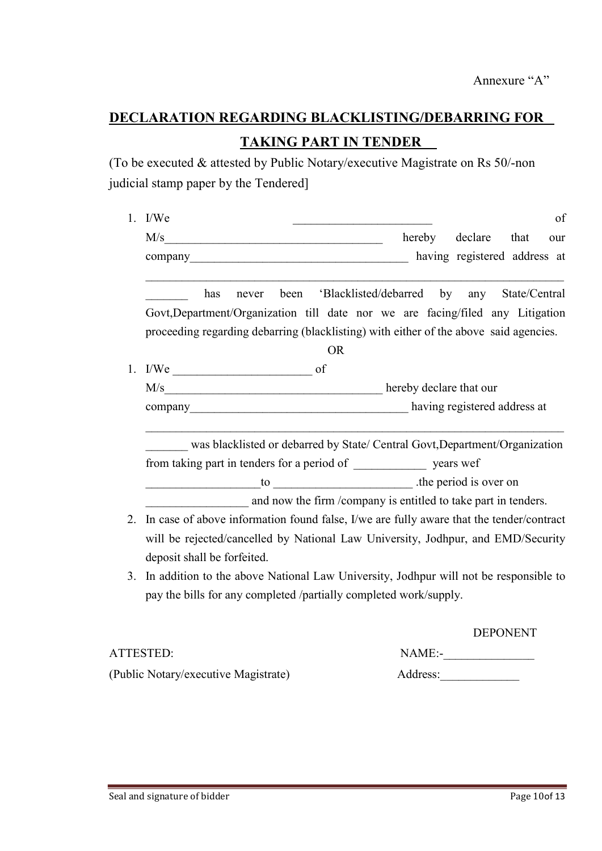# DECLARATION REGARDING BLACKLISTING/DEBARRING FOR TAKING PART IN TENDER

(To be executed & attested by Public Notary/executive Magistrate on Rs 50/-non judicial stamp paper by the Tendered]

| 1. | of<br>I/We                                                                                   |  |  |  |  |
|----|----------------------------------------------------------------------------------------------|--|--|--|--|
|    | declare<br>M/s<br>hereby<br>that<br>our<br><u> 1989 - Johann Barbara, martxa alemaniar a</u> |  |  |  |  |
|    | having registered address at<br>company                                                      |  |  |  |  |
|    | 'Blacklisted/debarred by<br>State/Central<br>has<br>been<br>any<br>never                     |  |  |  |  |
|    | Govt, Department/Organization till date nor we are facing/filed any Litigation               |  |  |  |  |
|    | proceeding regarding debarring (blacklisting) with either of the above said agencies.        |  |  |  |  |
|    | <b>OR</b>                                                                                    |  |  |  |  |
| 1. | $I/We$ of                                                                                    |  |  |  |  |
|    |                                                                                              |  |  |  |  |
|    |                                                                                              |  |  |  |  |
|    | was blacklisted or debarred by State/ Central Govt, Department/Organization                  |  |  |  |  |
|    |                                                                                              |  |  |  |  |
|    | to                                                                                           |  |  |  |  |
|    | and now the firm /company is entitled to take part in tenders.                               |  |  |  |  |
| 2. | In case of above information found false, I/we are fully aware that the tender/contract      |  |  |  |  |
|    | will be rejected/cancelled by National Law University, Jodhpur, and EMD/Security             |  |  |  |  |
|    | deposit shall be forfeited.                                                                  |  |  |  |  |
| 3. | In addition to the above National Law University, Jodhpur will not be responsible to         |  |  |  |  |
|    | pay the bills for any completed /partially completed work/supply.                            |  |  |  |  |
|    | <b>DEPONENT</b>                                                                              |  |  |  |  |

| ATTESTED:                            | $NAME$ :- |
|--------------------------------------|-----------|
| (Public Notary/executive Magistrate) | Address:  |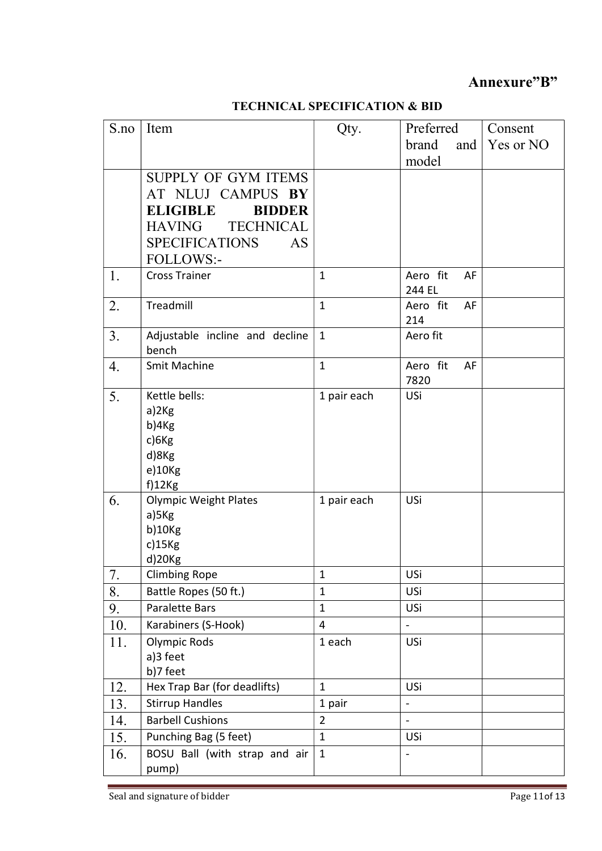#### Annexure"B"

#### TECHNICAL SPECIFICATION & BID

| S.no | Item                              | Qty.           | Preferred                    | Consent   |
|------|-----------------------------------|----------------|------------------------------|-----------|
|      |                                   |                | brand<br>and                 | Yes or NO |
|      |                                   |                | model                        |           |
|      | <b>SUPPLY OF GYM ITEMS</b>        |                |                              |           |
|      | AT NLUJ CAMPUS BY                 |                |                              |           |
|      | <b>ELIGIBLE</b><br><b>BIDDER</b>  |                |                              |           |
|      | <b>TECHNICAL</b><br><b>HAVING</b> |                |                              |           |
|      | <b>SPECIFICATIONS</b><br>AS       |                |                              |           |
|      | FOLLOWS:-                         |                |                              |           |
| 1.   | <b>Cross Trainer</b>              | $\mathbf{1}$   | Aero fit<br>AF               |           |
|      |                                   |                | 244 EL                       |           |
| 2.   | Treadmill                         | $\mathbf{1}$   | Aero fit<br>AF               |           |
|      |                                   |                | 214                          |           |
| 3.   | Adjustable incline and decline    | $\mathbf{1}$   | Aero fit                     |           |
|      | bench                             |                |                              |           |
| 4.   | <b>Smit Machine</b>               | $\mathbf{1}$   | Aero fit<br>AF               |           |
|      |                                   |                | 7820                         |           |
| 5.   | Kettle bells:<br>a)2Kg            | 1 pair each    | USi                          |           |
|      | b)4Kg                             |                |                              |           |
|      | c)6Kg                             |                |                              |           |
|      | d)8Kg                             |                |                              |           |
|      | e)10Kg                            |                |                              |           |
|      | $f$ )12 $Kg$                      |                |                              |           |
| 6.   | <b>Olympic Weight Plates</b>      | 1 pair each    | USi                          |           |
|      | a)5Kg                             |                |                              |           |
|      | b)10Kg                            |                |                              |           |
|      | $c)$ 15 $Kg$                      |                |                              |           |
|      | d)20Kg                            |                |                              |           |
| 7.   | <b>Climbing Rope</b>              | 1              | USi                          |           |
| 8.   | Battle Ropes (50 ft.)             | $\mathbf{1}$   | USi                          |           |
| 9.   | <b>Paralette Bars</b>             | $\mathbf{1}$   | USi                          |           |
| 10.  | Karabiners (S-Hook)               | $\overline{4}$ | $\blacksquare$               |           |
| 11.  | <b>Olympic Rods</b>               | 1 each         | USi                          |           |
|      | a)3 feet                          |                |                              |           |
|      | b)7 feet                          |                |                              |           |
| 12.  | Hex Trap Bar (for deadlifts)      | $\mathbf{1}$   | USi                          |           |
| 13.  | <b>Stirrup Handles</b>            | 1 pair         | $\overline{a}$               |           |
| 14.  | <b>Barbell Cushions</b>           | $\overline{2}$ | $\overline{a}$               |           |
| 15.  | Punching Bag (5 feet)             | $\mathbf{1}$   | USi                          |           |
| 16.  | BOSU Ball (with strap and air     | $\mathbf{1}$   | $\qquad \qquad \blacksquare$ |           |
|      | pump)                             |                |                              |           |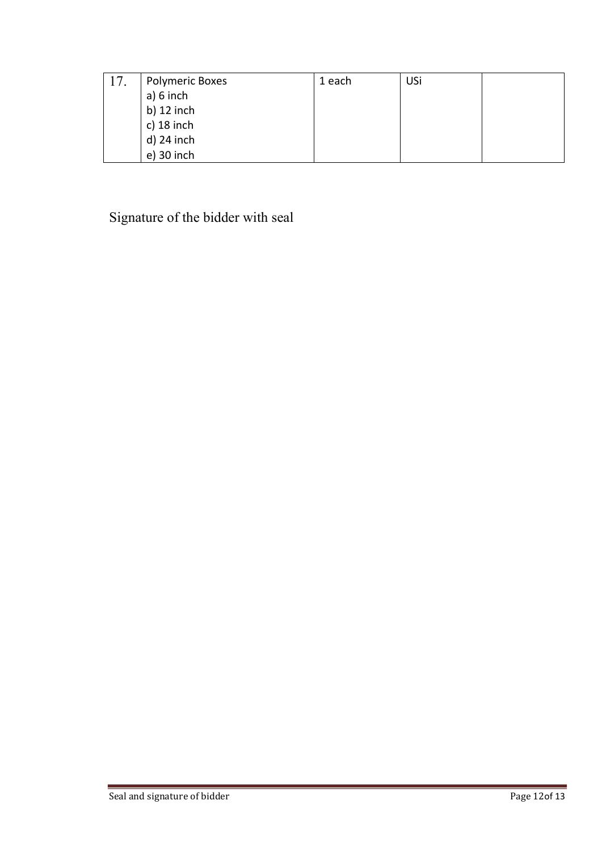| 17. | <b>Polymeric Boxes</b> | 1 each | USi |  |
|-----|------------------------|--------|-----|--|
|     | a) 6 inch              |        |     |  |
|     | b) $12$ inch           |        |     |  |
|     | c) $18$ inch           |        |     |  |
|     | d) 24 inch             |        |     |  |
|     | e) 30 inch             |        |     |  |

Signature of the bidder with seal